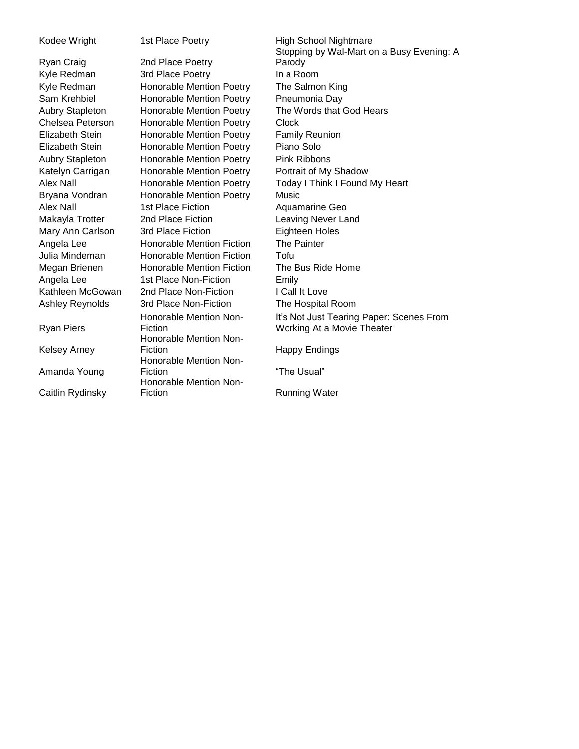Ryan Piers

Kelsey Arney

Amanda Young

Caitlin Rydinsky

Ryan Craig 2nd Place Poetry Kyle Redman 3rd Place Poetry In a Room Kyle Redman Honorable Mention Poetry The Salmon King Sam Krehbiel **Honorable Mention Poetry** Pneumonia Day Aubry Stapleton Honorable Mention Poetry The Words that God Hears Chelsea Peterson Honorable Mention Poetry Clock Elizabeth Stein Honorable Mention Poetry Family Reunion Elizabeth Stein Honorable Mention Poetry Piano Solo Aubry Stapleton Honorable Mention Poetry Pink Ribbons Katelyn Carrigan Honorable Mention Poetry Portrait of My Shadow Alex Nall **Honorable Mention Poetry** Today I Think I Found My Heart Bryana Vondran Honorable Mention Poetry Music Alex Nall 1st Place Fiction Aquamarine Geo Makayla Trotter 2nd Place Fiction Leaving Never Land Mary Ann Carlson 3rd Place Fiction Eighteen Holes Angela Lee Honorable Mention Fiction The Painter Julia Mindeman Honorable Mention Fiction Tofu Megan Brienen Honorable Mention Fiction The Bus Ride Home Angela Lee 1st Place Non-Fiction Emily Kathleen McGowan 2nd Place Non-Fiction I Call It Love Ashley Reynolds 3rd Place Non-Fiction The Hospital Room Honorable Mention Non-**Fiction** Honorable Mention Non-Fiction **Happy Endings** Honorable Mention Non-Fiction **The Usual**" Honorable Mention Non-Fiction **Running Water** 

Kodee Wright 1st Place Poetry High School Nightmare Stopping by Wal-Mart on a Busy Evening: A Parody It's Not Just Tearing Paper: Scenes From Working At a Movie Theater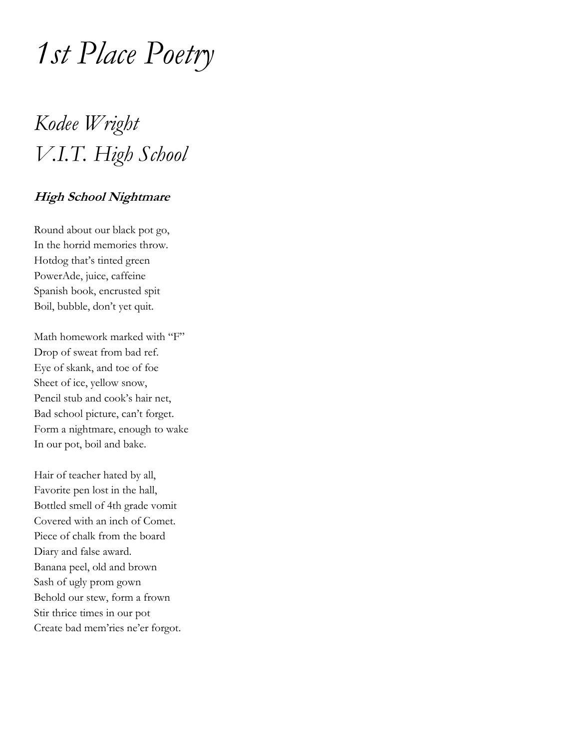# *1st Place Poetry*

## *Kodee Wright V.I.T. High School*

#### **High School Nightmare**

Round about our black pot go, In the horrid memories throw. Hotdog that's tinted green PowerAde, juice, caffeine Spanish book, encrusted spit Boil, bubble, don't yet quit.

Math homework marked with "F" Drop of sweat from bad ref. Eye of skank, and toe of foe Sheet of ice, yellow snow, Pencil stub and cook's hair net, Bad school picture, can't forget. Form a nightmare, enough to wake In our pot, boil and bake.

Hair of teacher hated by all, Favorite pen lost in the hall, Bottled smell of 4th grade vomit Covered with an inch of Comet. Piece of chalk from the board Diary and false award. Banana peel, old and brown Sash of ugly prom gown Behold our stew, form a frown Stir thrice times in our pot Create bad mem'ries ne'er forgot.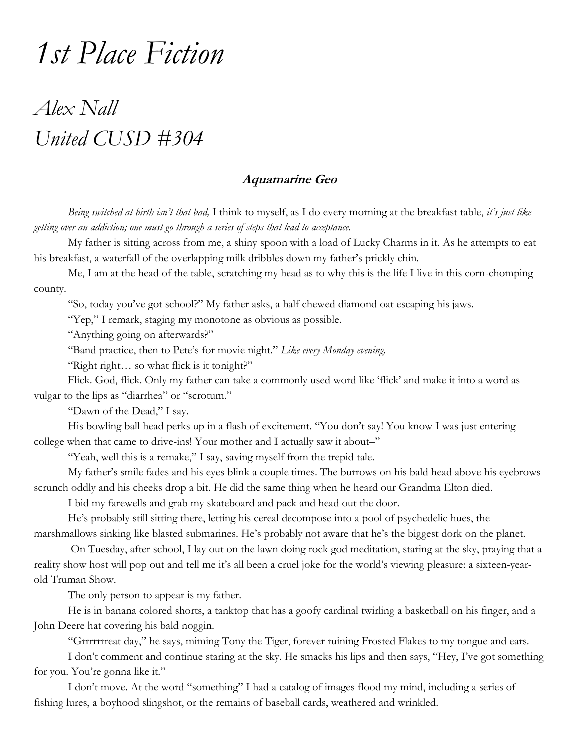## *1st Place Fiction*

### *Alex Nall United CUSD #304*

#### **Aquamarine Geo**

*Being switched at birth isn't that bad,* I think to myself, as I do every morning at the breakfast table, *it's just like getting over an addiction; one must go through a series of steps that lead to acceptance.*

 My father is sitting across from me, a shiny spoon with a load of Lucky Charms in it. As he attempts to eat his breakfast, a waterfall of the overlapping milk dribbles down my father's prickly chin.

 Me, I am at the head of the table, scratching my head as to why this is the life I live in this corn-chomping county.

"So, today you've got school?" My father asks, a half chewed diamond oat escaping his jaws.

"Yep," I remark, staging my monotone as obvious as possible.

"Anything going on afterwards?"

"Band practice, then to Pete's for movie night." *Like every Monday evening.*

"Right right… so what flick is it tonight?"

 Flick. God, flick. Only my father can take a commonly used word like 'flick' and make it into a word as vulgar to the lips as "diarrhea" or "scrotum."

"Dawn of the Dead," I say.

His bowling ball head perks up in a flash of excitement. "You don't say! You know I was just entering college when that came to drive-ins! Your mother and I actually saw it about–"

"Yeah, well this is a remake," I say, saving myself from the trepid tale.

 My father's smile fades and his eyes blink a couple times. The burrows on his bald head above his eyebrows scrunch oddly and his cheeks drop a bit. He did the same thing when he heard our Grandma Elton died.

I bid my farewells and grab my skateboard and pack and head out the door.

He's probably still sitting there, letting his cereal decompose into a pool of psychedelic hues, the marshmallows sinking like blasted submarines. He's probably not aware that he's the biggest dork on the planet.

 On Tuesday, after school, I lay out on the lawn doing rock god meditation, staring at the sky, praying that a reality show host will pop out and tell me it's all been a cruel joke for the world's viewing pleasure: a sixteen-yearold Truman Show.

The only person to appear is my father.

 He is in banana colored shorts, a tanktop that has a goofy cardinal twirling a basketball on his finger, and a John Deere hat covering his bald noggin.

"Grrrrrrreat day," he says, miming Tony the Tiger, forever ruining Frosted Flakes to my tongue and ears.

 I don't comment and continue staring at the sky. He smacks his lips and then says, "Hey, I've got something for you. You're gonna like it."

 I don't move. At the word "something" I had a catalog of images flood my mind, including a series of fishing lures, a boyhood slingshot, or the remains of baseball cards, weathered and wrinkled.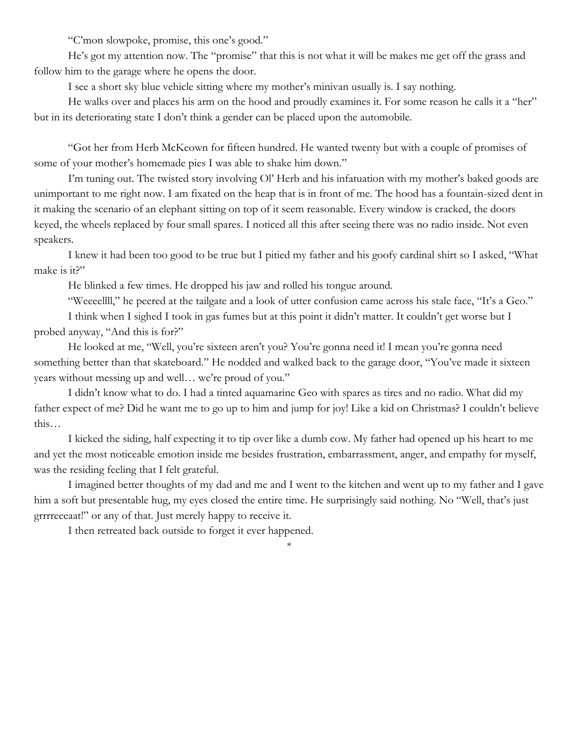"C'mon slowpoke, promise, this one's good."

 He's got my attention now. The "promise" that this is not what it will be makes me get off the grass and follow him to the garage where he opens the door.

I see a short sky blue vehicle sitting where my mother's minivan usually is. I say nothing.

He walks over and places his arm on the hood and proudly examines it. For some reason he calls it a "her" but in its deteriorating state I don't think a gender can be placed upon the automobile.

 "Got her from Herb McKeown for fifteen hundred. He wanted twenty but with a couple of promises of some of your mother's homemade pies I was able to shake him down."

 I'm tuning out. The twisted story involving Ol' Herb and his infatuation with my mother's baked goods are unimportant to me right now. I am fixated on the heap that is in front of me. The hood has a fountain-sized dent in it making the scenario of an elephant sitting on top of it seem reasonable. Every window is cracked, the doors keyed, the wheels replaced by four small spares. I noticed all this after seeing there was no radio inside. Not even speakers.

 I knew it had been too good to be true but I pitied my father and his goofy cardinal shirt so I asked, "What make is it?"

He blinked a few times. He dropped his jaw and rolled his tongue around.

"Weeeellll," he peered at the tailgate and a look of utter confusion came across his stale face, "It's a Geo."

 I think when I sighed I took in gas fumes but at this point it didn't matter. It couldn't get worse but I probed anyway, "And this is for?"

 He looked at me, "Well, you're sixteen aren't you? You're gonna need it! I mean you're gonna need something better than that skateboard." He nodded and walked back to the garage door, "You've made it sixteen years without messing up and well… we're proud of you."

 I didn't know what to do. I had a tinted aquamarine Geo with spares as tires and no radio. What did my father expect of me? Did he want me to go up to him and jump for joy! Like a kid on Christmas? I couldn't believe this…

 I kicked the siding, half expecting it to tip over like a dumb cow. My father had opened up his heart to me and yet the most noticeable emotion inside me besides frustration, embarrassment, anger, and empathy for myself, was the residing feeling that I felt grateful.

 I imagined better thoughts of my dad and me and I went to the kitchen and went up to my father and I gave him a soft but presentable hug, my eyes closed the entire time. He surprisingly said nothing. No "Well, that's just grrrreeeaat!" or any of that. Just merely happy to receive it.

\*

I then retreated back outside to forget it ever happened.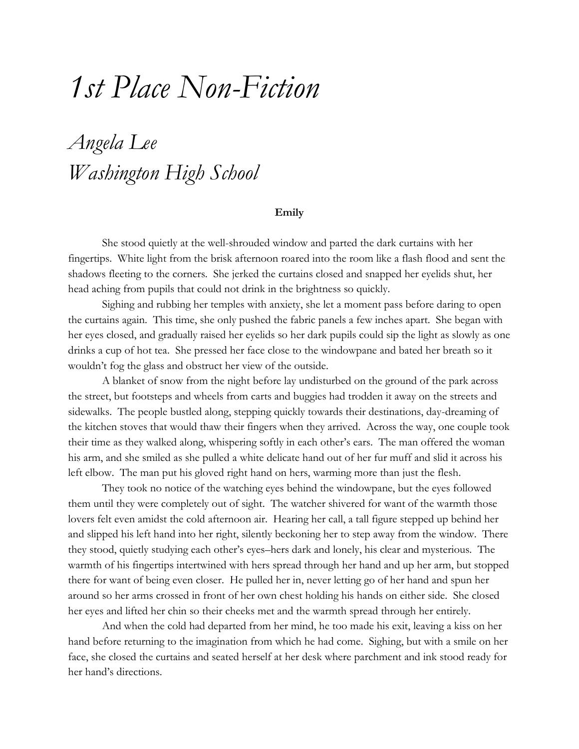## *1st Place Non-Fiction*

### *Angela Lee Washington High School*

#### **Emily**

She stood quietly at the well-shrouded window and parted the dark curtains with her fingertips. White light from the brisk afternoon roared into the room like a flash flood and sent the shadows fleeting to the corners. She jerked the curtains closed and snapped her eyelids shut, her head aching from pupils that could not drink in the brightness so quickly.

Sighing and rubbing her temples with anxiety, she let a moment pass before daring to open the curtains again. This time, she only pushed the fabric panels a few inches apart. She began with her eyes closed, and gradually raised her eyelids so her dark pupils could sip the light as slowly as one drinks a cup of hot tea. She pressed her face close to the windowpane and bated her breath so it wouldn't fog the glass and obstruct her view of the outside.

A blanket of snow from the night before lay undisturbed on the ground of the park across the street, but footsteps and wheels from carts and buggies had trodden it away on the streets and sidewalks. The people bustled along, stepping quickly towards their destinations, day-dreaming of the kitchen stoves that would thaw their fingers when they arrived. Across the way, one couple took their time as they walked along, whispering softly in each other's ears. The man offered the woman his arm, and she smiled as she pulled a white delicate hand out of her fur muff and slid it across his left elbow. The man put his gloved right hand on hers, warming more than just the flesh.

They took no notice of the watching eyes behind the windowpane, but the eyes followed them until they were completely out of sight. The watcher shivered for want of the warmth those lovers felt even amidst the cold afternoon air. Hearing her call, a tall figure stepped up behind her and slipped his left hand into her right, silently beckoning her to step away from the window. There they stood, quietly studying each other's eyes–hers dark and lonely, his clear and mysterious. The warmth of his fingertips intertwined with hers spread through her hand and up her arm, but stopped there for want of being even closer. He pulled her in, never letting go of her hand and spun her around so her arms crossed in front of her own chest holding his hands on either side. She closed her eyes and lifted her chin so their cheeks met and the warmth spread through her entirely.

And when the cold had departed from her mind, he too made his exit, leaving a kiss on her hand before returning to the imagination from which he had come. Sighing, but with a smile on her face, she closed the curtains and seated herself at her desk where parchment and ink stood ready for her hand's directions.